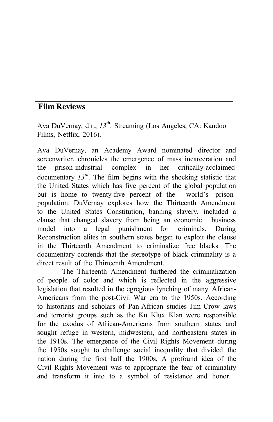## **Film Reviews**

Ava DuVernay, dir., 13<sup>th</sup>. Streaming (Los Angeles, CA: Kandoo Films, Netflix, 2016).

Ava DuVernay, an Academy Award nominated director and screenwriter, chronicles the emergence of mass incarceration and the prison-industrial complex in her critically-acclaimed documentary  $I3^{th}$ . The film begins with the shocking statistic that the United States which has five percent of the global population but is home to twenty-five percent of the world's prison population. DuVernay explores how the Thirteenth Amendment to the United States Constitution, banning slavery, included a clause that changed slavery from being an economic business model into a legal punishment for criminals. During Reconstruction elites in southern states began to exploit the clause in the Thirteenth Amendment to criminalize free blacks. The documentary contends that the stereotype of black criminality is a direct result of the Thirteenth Amendment.

The Thirteenth Amendment furthered the criminalization of people of color and which is reflected in the aggressive legislation that resulted in the egregious lynching of many African-Americans from the post-Civil War era to the 1950s. According to historians and scholars of Pan-African studies Jim Crow laws and terrorist groups such as the Ku Klux Klan were responsible for the exodus of African-Americans from southern states and sought refuge in western, midwestern, and northeastern states in the 1910s. The emergence of the Civil Rights Movement during the 1950s sought to challenge social inequality that divided the nation during the first half the 1900s. A profound idea of the Civil Rights Movement was to appropriate the fear of criminality and transform it into to a symbol of resistance and honor.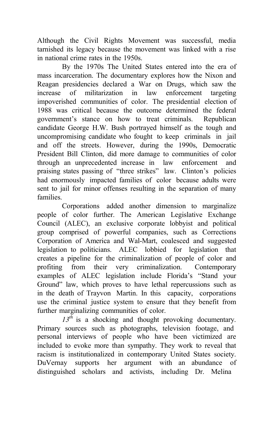Although the Civil Rights Movement was successful, media tarnished its legacy because the movement was linked with a rise in national crime rates in the 1950s.

By the 1970s The United States entered into the era of mass incarceration. The documentary explores how the Nixon and Reagan presidencies declared a War on Drugs, which saw the increase of militarization in law enforcement targeting impoverished communities of color. The presidential election of 1988 was critical because the outcome determined the federal government's stance on how to treat criminals. Republican candidate George H.W. Bush portrayed himself as the tough and uncompromising candidate who fought to keep criminals in jail and off the streets. However, during the 1990s, Democratic President Bill Clinton, did more damage to communities of color through an unprecedented increase in law enforcement and praising states passing of "three strikes" law. Clinton's policies had enormously impacted families of color because adults were sent to jail for minor offenses resulting in the separation of many families.

Corporations added another dimension to marginalize people of color further. The American Legislative Exchange Council (ALEC), an exclusive corporate lobbyist and political group comprised of powerful companies, such as Corrections Corporation of America and Wal-Mart, coalesced and suggested legislation to politicians. ALEC lobbied for legislation that creates a pipeline for the criminalization of people of color and profiting from their very criminalization. Contemporary examples of ALEC legislation include Florida's "Stand your Ground" law, which proves to have lethal repercussions such as in the death of Trayvon Martin. In this capacity, corporations use the criminal justice system to ensure that they benefit from further marginalizing communities of color.

*13th* is a shocking and thought provoking documentary. Primary sources such as photographs, television footage, and personal interviews of people who have been victimized are included to evoke more than sympathy. They work to reveal that racism is institutionalized in contemporary United States society. DuVernay supports her argument with an abundance of distinguished scholars and activists, including Dr. Melina